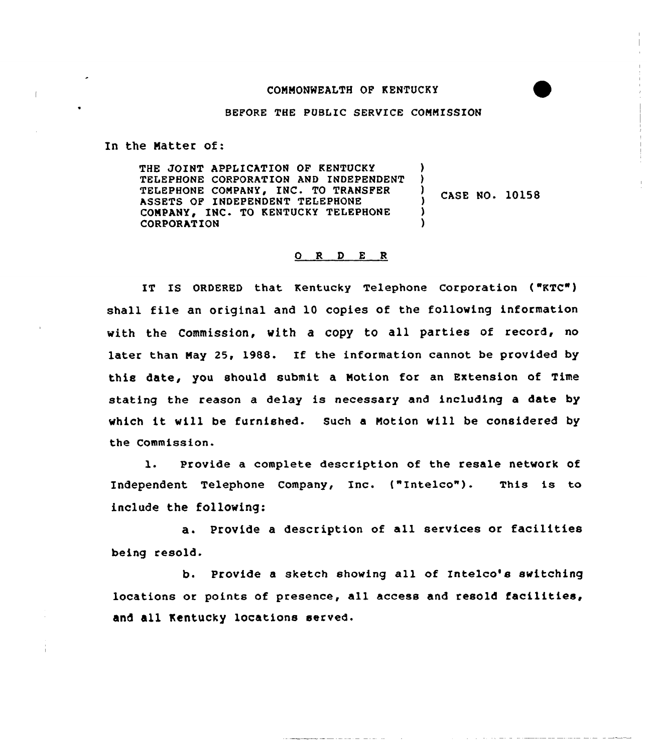## COHHONHEALTH OF KENTUCKY

BEFORE THE PUBLIC SERVICE COMMISSION

In the Hatter of:

THE JOINT APPLICATION OF KENTUCKY TELEPHONE CORPORATION AND 1NDEPENDENT TELEPHONE COMPANY, INC. TO TRANSFER ASSETS OF INDEPENDENT TELEPHONE COMPANY, INC. TO KENTUCKY TELEPHONE CORPORATION ) 3 <sup>3</sup> CASE NO. 10158 3 )

## 0 R <sup>D</sup> E <sup>R</sup>

IT IS ORDERED that Kentucky Telephone Corporation ("KTC") shall file an original and 10 copies of the following information with the Commission, with a copy to all parties of record, no later than Hay 25, 1988. If the information cannot be provided by this date, you should submit a Notion for an Extension of Time stating the reason a delay is necessary and including a date by which it vill be furnished. Such <sup>a</sup> Notion vill be considered by the Commission.

1. Provide a complete description of the resale network of Independent Telephone Company, Inc. ("Intelco"). This is to include the following:

a. Provide <sup>a</sup> description of all services or facilities being resold.

b. Provide <sup>a</sup> sketch showing all of Intelco's switching locations or points of presence, all access and resold facilities, and all Kentucky locations served.

ا المنابع المنابع المنابع المنابع المنابع المنابع المنابع المنابع المنابع المنابع المنابع المنابع المنابع المن<br>المنابع المنابع المنابع المنابع المنابع المنابع المنابع المنابع المنابع المنابع المنابع المنابع المنابع المناب